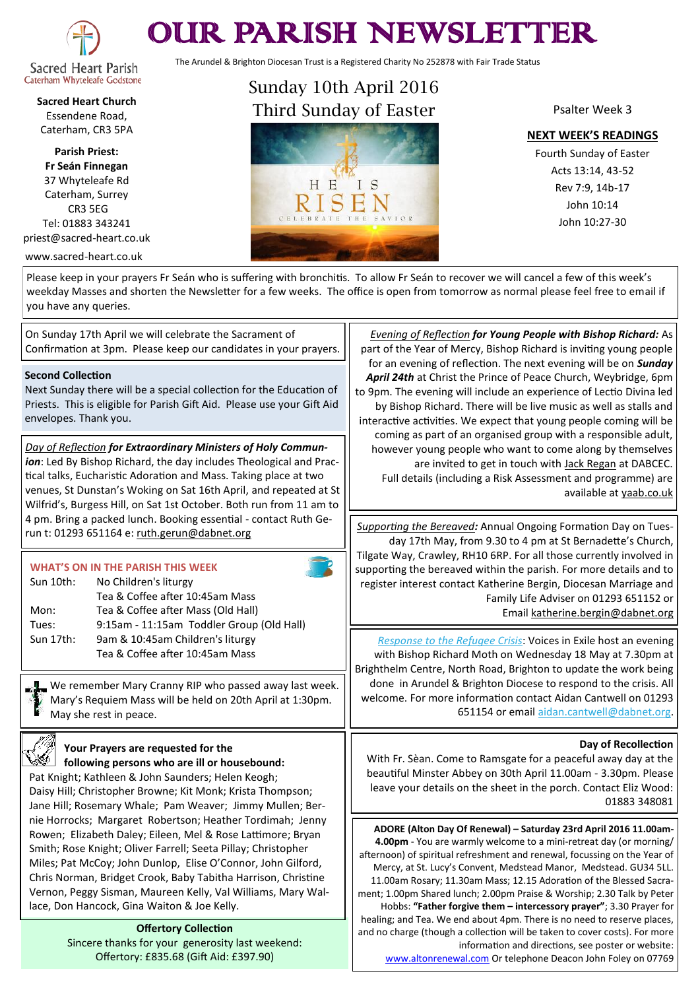

# OUR PARISH NEWSLETTER

The Arundel & Brighton Diocesan Trust is a Registered Charity No 252878 with Fair Trade Status

**Sacred Heart Church** Essendene Road, Caterham, CR3 5PA

**Parish Priest: Fr Seán Finnegan** 37 Whyteleafe Rd Caterham, Surrey CR3 5EG Tel: 01883 343241 priest@sacred-heart.co.uk

www.sacred-heart.co.uk

Sunday 10th April 2016 Third Sunday of Easter



Psalter Week 3

**NEXT WEEK'S READINGS**

Fourth Sunday of Easter Acts 13:14, 43-52 Rev 7:9, 14b-17 John 10:14 John 10:27-30

Please keep in your prayers Fr Seán who is suffering with bronchitis. To allow Fr Seán to recover we will cancel a few of this week's weekday Masses and shorten the Newsletter for a few weeks. The office is open from tomorrow as normal please feel free to email if you have any queries.

On Sunday 17th April we will celebrate the Sacrament of Confirmation at 3pm. Please keep our candidates in your prayers.

#### **Second Collection**

Next Sunday there will be a special collection for the Education of Priests. This is eligible for Parish Gift Aid. Please use your Gift Aid envelopes. Thank you.

*Day of Reflection for Extraordinary Ministers of Holy Communion*: Led By Bishop Richard, the day includes Theological and Practical talks, Eucharistic Adoration and Mass. Taking place at two venues, St Dunstan's Woking on Sat 16th April, and repeated at St Wilfrid's, Burgess Hill, on Sat 1st October. Both run from 11 am to 4 pm. Bring a packed lunch. Booking essential - contact Ruth Gerun t: 01293 651164 e: [ruth.gerun@dabnet.org](mailto:ruth.gerun@dabnet.org?subject=Day%20of%20Reflection%20for%20Extraordinary%20Ministers%20of%20Holy%20Communion)

#### **WHAT'S ON IN THE PARISH THIS WEEK**

| Sun 10th: | No Children's liturgy                     |  |
|-----------|-------------------------------------------|--|
|           | Tea & Coffee after 10:45am Mass           |  |
| Mon:      | Tea & Coffee after Mass (Old Hall)        |  |
| Tues:     | 9:15am - 11:15am Toddler Group (Old Hall) |  |
| Sun 17th: | 9am & 10:45am Children's liturgy          |  |
|           | Tea & Coffee after 10:45am Mass           |  |

We remember Mary Cranny RIP who passed away last week. Mary's Requiem Mass will be held on 20th April at 1:30pm. May she rest in peace.

## **Your Prayers are requested for the following persons who are ill or housebound:**

Pat Knight; Kathleen & John Saunders; Helen Keogh; Daisy Hill; Christopher Browne; Kit Monk; Krista Thompson; Jane Hill; Rosemary Whale; Pam Weaver; Jimmy Mullen; Bernie Horrocks; Margaret Robertson; Heather Tordimah; Jenny Rowen; Elizabeth Daley; Eileen, Mel & Rose Lattimore; Bryan Smith; Rose Knight; Oliver Farrell; Seeta Pillay; Christopher Miles; Pat McCoy; John Dunlop, Elise O'Connor, John Gilford, Chris Norman, Bridget Crook, Baby Tabitha Harrison, Christine Vernon, Peggy Sisman, Maureen Kelly, Val Williams, Mary Wallace, Don Hancock, Gina Waiton & Joe Kelly.

> **Offertory Collection** Sincere thanks for your generosity last weekend: Offertory: £835.68 (Gift Aid: £397.90)

*Evening of Reflection for Young People with Bishop Richard:* As part of the Year of Mercy, Bishop Richard is inviting young people for an evening of reflection. The next evening will be on *Sunday April 24th* at Christ the Prince of Peace Church, Weybridge, 6pm to 9pm. The evening will include an experience of Lectio Divina led by Bishop Richard. There will be live music as well as stalls and interactive activities. We expect that young people coming will be coming as part of an organised group with a responsible adult, however young people who want to come along by themselves are invited to get in touch with [Jack Regan](mailto:jack.regan@dabnet.org?subject=BIshop%20Richard%20reflection%20evenings) at DABCEC. Full details (including a Risk Assessment and programme) are available at [yaab.co.uk](http://dabnet.us9.list-manage.com/track/click?u=6ad3715cf61665df736c264a6&id=abf36d695f&e=6d21494853)

*[Supporting the Bereaved](x-msg://121/#Supporting the Bereaved):* Annual Ongoing Formation Day on Tuesday 17th May, from 9.30 to 4 pm at St Bernadette's Church, Tilgate Way, Crawley, RH10 6RP. For all those currently involved in supporting the bereaved within the parish. For more details and to register interest contact Katherine Bergin, Diocesan Marriage and Family Life Adviser on 01293 651152 or Email [katherine.bergin@dabnet.org](mailto:katherine.bergin@dabnet.org?subject=Supporting%20the%20Breaved)

*Response to the Refugee Crisis*: Voices in Exile host an evening with Bishop Richard Moth on Wednesday 18 May at 7.30pm at Brighthelm Centre, North Road, Brighton to update the work being done in Arundel & Brighton Diocese to respond to the crisis. All welcome. For more information contact Aidan Cantwell on 01293 651154 or email [aidan.cantwell@dabnet.org.](mailto:aidan.cantwell@dabnet.org?subject=Voices%20in%20Exile%20event%2018%20May)

### **Day of Recollection**

With Fr. Sèan. Come to Ramsgate for a peaceful away day at the beautiful Minster Abbey on 30th April 11.00am - 3.30pm. Please leave your details on the sheet in the porch. Contact Eliz Wood: 01883 348081

**ADORE (Alton Day Of Renewal) – Saturday 23rd April 2016 11.00am-4.00pm** - You are warmly welcome to a mini-retreat day (or morning/ afternoon) of spiritual refreshment and renewal, focussing on the Year of Mercy, at St. Lucy's Convent, Medstead Manor, Medstead. GU34 5LL. 11.00am Rosary; 11.30am Mass; 12.15 Adoration of the Blessed Sacrament; 1.00pm Shared lunch; 2.00pm Praise & Worship; 2.30 Talk by Peter Hobbs: **"Father forgive them – intercessory prayer"**; 3.30 Prayer for healing; and Tea. We end about 4pm. There is no need to reserve places, and no charge (though a collection will be taken to cover costs). For more information and directions, see poster or website: [www.altonrenewal.com](http://www.altonrenewal.com/) Or telephone Deacon John Foley on 07769